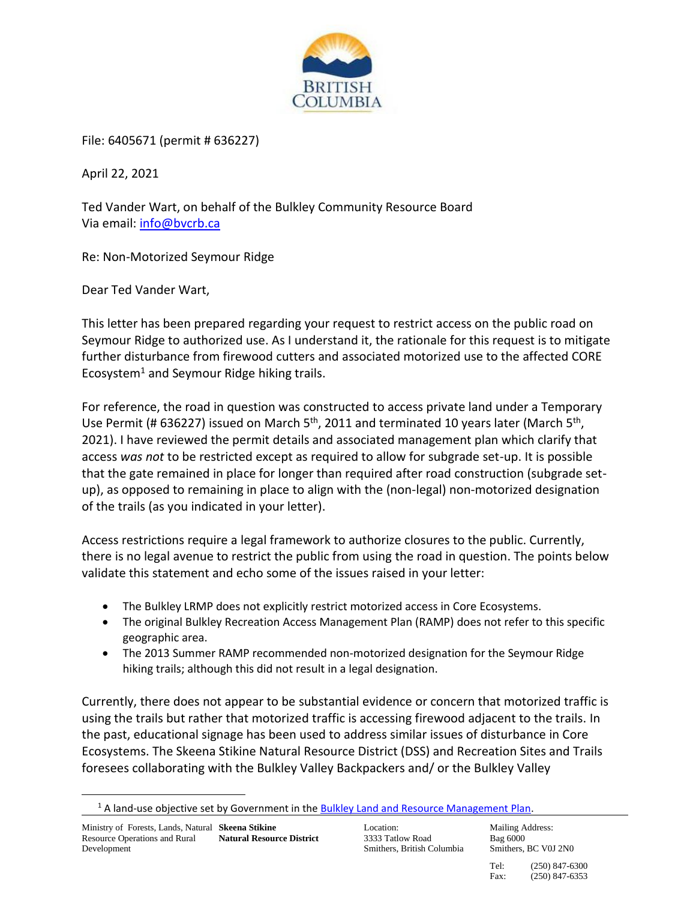

File: 6405671 (permit # 636227)

April 22, 2021

Ted Vander Wart, on behalf of the Bulkley Community Resource Board Via email: [info@bvcrb.ca](mailto:info@bvcrb.ca)

Re: Non-Motorized Seymour Ridge

Dear Ted Vander Wart,

This letter has been prepared regarding your request to restrict access on the public road on Seymour Ridge to authorized use. As I understand it, the rationale for this request is to mitigate further disturbance from firewood cutters and associated motorized use to the affected CORE Ecosystem<sup>1</sup> and Seymour Ridge hiking trails.

For reference, the road in question was constructed to access private land under a Temporary Use Permit (# 636227) issued on March  $5<sup>th</sup>$ , 2011 and terminated 10 years later (March  $5<sup>th</sup>$ , 2021). I have reviewed the permit details and associated management plan which clarify that access *was not* to be restricted except as required to allow for subgrade set-up. It is possible that the gate remained in place for longer than required after road construction (subgrade setup), as opposed to remaining in place to align with the (non-legal) non-motorized designation of the trails (as you indicated in your letter).

Access restrictions require a legal framework to authorize closures to the public. Currently, there is no legal avenue to restrict the public from using the road in question. The points below validate this statement and echo some of the issues raised in your letter:

- The Bulkley LRMP does not explicitly restrict motorized access in Core Ecosystems.
- The original Bulkley Recreation Access Management Plan (RAMP) does not refer to this specific geographic area.
- The 2013 Summer RAMP recommended non-motorized designation for the Seymour Ridge hiking trails; although this did not result in a legal designation.

Currently, there does not appear to be substantial evidence or concern that motorized traffic is using the trails but rather that motorized traffic is accessing firewood adjacent to the trails. In the past, educational signage has been used to address similar issues of disturbance in Core Ecosystems. The Skeena Stikine Natural Resource District (DSS) and Recreation Sites and Trails foresees collaborating with the Bulkley Valley Backpackers and/ or the Bulkley Valley

Location: 3333 Tatlow Road Smithers, British Columbia

Mailing Address: Bag 6000 Smithers, BC V0J 2N0

Tel: (250) 847-6300 Fax: (250) 847-6353

<sup>&</sup>lt;sup>1</sup> A land-use objective set by Government in the **Bulkley Land and Resource Management Plan**.